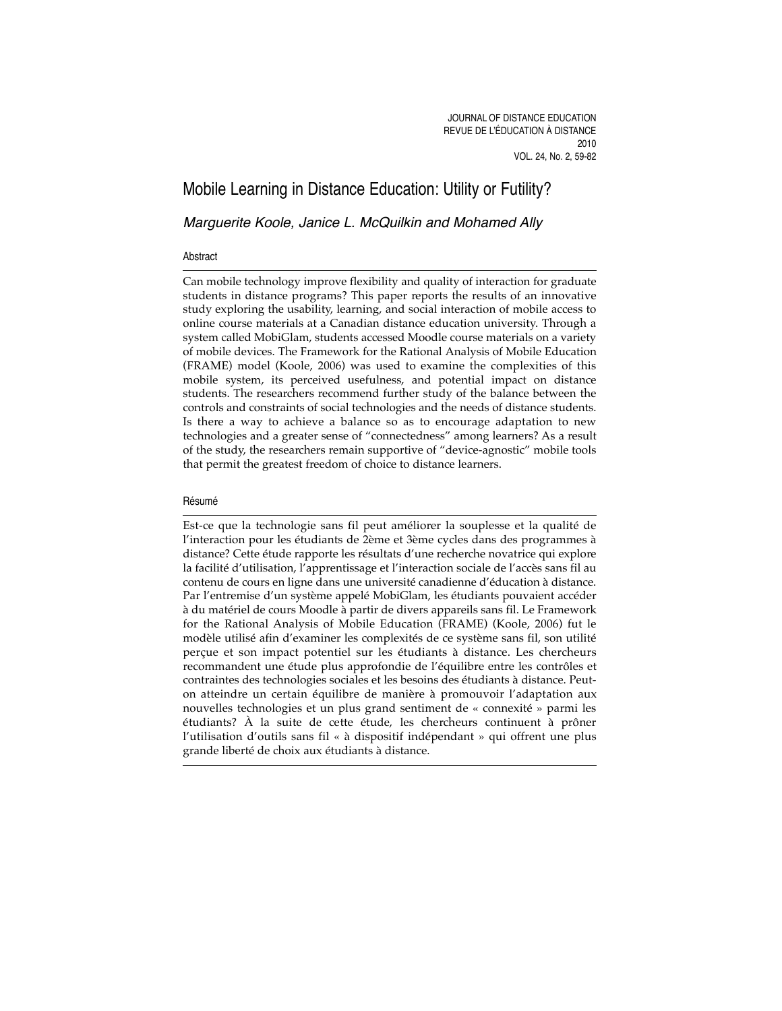# Mobile Learning in Distance Education: Utility or Futility?

Marguerite Koole, Janice L. McQuilkin and Mohamed Ally

#### Abstract

Can mobile technology improve flexibility and quality of interaction for graduate students in distance programs? This paper reports the results of an innovative study exploring the usability, learning, and social interaction of mobile access to online course materials at a Canadian distance education university. Through a system called MobiGlam, students accessed Moodle course materials on a variety of mobile devices. The Framework for the Rational Analysis of Mobile Education (FRAME) model (Koole, 2006) was used to examine the complexities of this mobile system, its perceived usefulness, and potential impact on distance students. The researchers recommend further study of the balance between the controls and constraints of social technologies and the needs of distance students. Is there a way to achieve a balance so as to encourage adaptation to new technologies and a greater sense of "connectedness" among learners? As a result of the study, the researchers remain supportive of "device-agnostic" mobile tools that permit the greatest freedom of choice to distance learners.

#### Résumé

Est-ce que la technologie sans fil peut améliorer la souplesse et la qualité de l'interaction pour les étudiants de 2ème et 3ème cycles dans des programmes à distance? Cette étude rapporte les résultats d'une recherche novatrice qui explore la facilité d'utilisation, l'apprentissage et l'interaction sociale de l'accès sans fil au contenu de cours en ligne dans une université canadienne d'éducation à distance. Par l'entremise d'un système appelé MobiGlam, les étudiants pouvaient accéder à du matériel de cours Moodle à partir de divers appareils sans fil. Le Framework for the Rational Analysis of Mobile Education (FRAME) (Koole, 2006) fut le modèle utilisé afin d'examiner les complexités de ce système sans fil, son utilité perçue et son impact potentiel sur les étudiants à distance. Les chercheurs recommandent une étude plus approfondie de l'équilibre entre les contrôles et contraintes des technologies sociales et les besoins des étudiants à distance. Peuton atteindre un certain équilibre de manière à promouvoir l'adaptation aux nouvelles technologies et un plus grand sentiment de « connexité » parmi les étudiants? À la suite de cette étude, les chercheurs continuent à prôner l'utilisation d'outils sans fil « à dispositif indépendant » qui offrent une plus grande liberté de choix aux étudiants à distance.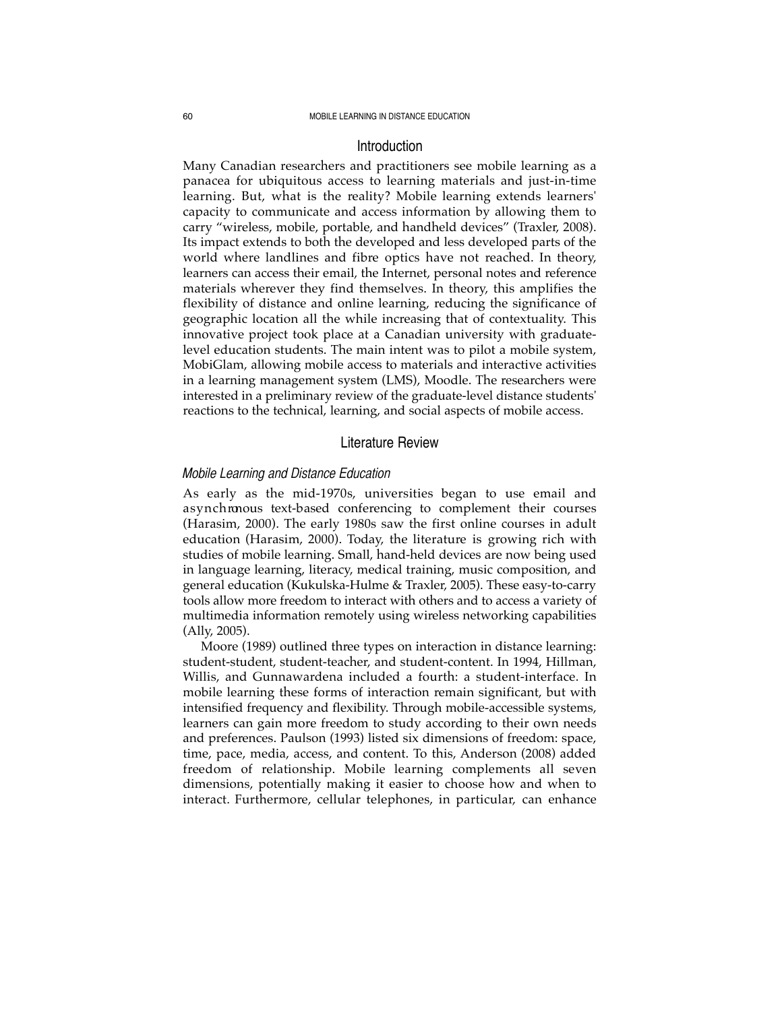#### 60 MOBILE LEARNING IN DISTANCE EDUCATION

## Introduction

Many Canadian researchers and practitioners see mobile learning as a panacea for ubiquitous access to learning materials and just-in-time learning. But, what is the reality? Mobile learning extends learners' capacity to communicate and access information by allowing them to carry "wireless, mobile, portable, and handheld devices" (Traxler, 2008). Its impact extends to both the developed and less developed parts of the world where landlines and fibre optics have not reached. In theory, learners can access their email, the Internet, personal notes and reference materials wherever they find themselves. In theory, this amplifies the flexibility of distance and online learning, reducing the significance of geographic location all the while increasing that of contextuality. This innovative project took place at a Canadian university with graduatelevel education students. The main intent was to pilot a mobile system, MobiGlam, allowing mobile access to materials and interactive activities in a learning management system (LMS), Moodle. The researchers were interested in a preliminary review of the graduate-level distance students' reactions to the technical, learning, and social aspects of mobile access.

### Literature Review

### *Mobile Learning and Distance Education*

As early as the mid-1970s, universities began to use email and a syn chronous text-based conferencing to complement their courses (Harasim, 2000). The early 1980s saw the first online courses in adult education (Harasim, 2000). Today, the literature is growing rich with studies of mobile learning. Small, hand-held devices are now being used in language learning, literacy, medical training, music composition, and general education (Kukulska-Hulme & Traxler, 2005). These easy-to-carry tools allow more freedom to interact with others and to access a variety of multimedia information remotely using wireless networking capabilities (Ally, 2005).

Moore (1989) outlined three types on interaction in distance learning: student-student, student-teacher, and student-content. In 1994, Hillman, Willis, and Gunnawardena included a fourth: a student-interface. In mobile learning these forms of interaction remain significant, but with intensified frequency and flexibility. Through mobile-accessible systems, learners can gain more freedom to study according to their own needs and preferences. Paulson (1993) listed six dimensions of freedom: space, time, pace, media, access, and content. To this, Anderson (2008) added freedom of relationship. Mobile learning complements all seven dimensions, potentially making it easier to choose how and when to interact. Furthermore, cellular telephones, in particular, can enhance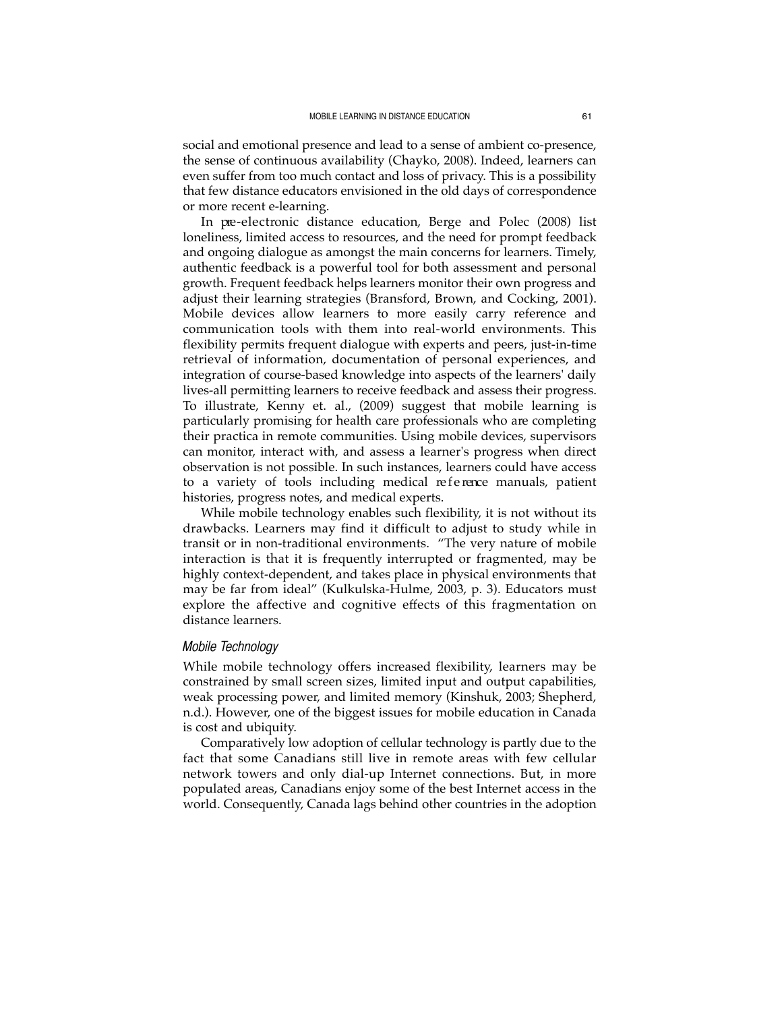social and emotional presence and lead to a sense of ambient co-presence, the sense of continuous availability (Chayko, 2008). Indeed, learners can even suffer from too much contact and loss of privacy. This is a possibility that few distance educators envisioned in the old days of correspondence or more recent e-learning.

In pre-electronic distance education, Berge and Polec (2008) list loneliness, limited access to resources, and the need for prompt feedback and ongoing dialogue as amongst the main concerns for learners. Timely, authentic feedback is a powerful tool for both assessment and personal growth. Frequent feedback helps learners monitor their own progress and adjust their learning strategies (Bransford, Brown, and Cocking, 2001). Mobile devices allow learners to more easily carry reference and communication tools with them into real-world environments. This flexibility permits frequent dialogue with experts and peers, just-in-time retrieval of information, documentation of personal experiences, and integration of course-based knowledge into aspects of the learners' daily lives-all permitting learners to receive feedback and assess their progress. To illustrate, Kenny et. al., (2009) suggest that mobile learning is particularly promising for health care professionals who are completing their practica in remote communities. Using mobile devices, supervisors can monitor, interact with, and assess a learner's progress when direct observation is not possible. In such instances, learners could have access to a variety of tools including medical reference manuals, patient histories, progress notes, and medical experts.

While mobile technology enables such flexibility, it is not without its drawbacks. Learners may find it difficult to adjust to study while in transit or in non-traditional environments. "The very nature of mobile interaction is that it is frequently interrupted or fragmented, may be highly context-dependent, and takes place in physical environments that may be far from ideal" (Kulkulska-Hulme, 2003, p. 3). Educators must explore the affective and cognitive effects of this fragmentation on distance learners.

## *Mobile Technology*

While mobile technology offers increased flexibility, learners may be constrained by small screen sizes, limited input and output capabilities, weak processing power, and limited memory (Kinshuk, 2003; Shepherd, n.d.). However, one of the biggest issues for mobile education in Canada is cost and ubiquity.

Comparatively low adoption of cellular technology is partly due to the fact that some Canadians still live in remote areas with few cellular network towers and only dial-up Internet connections. But, in more populated areas, Canadians enjoy some of the best Internet access in the world. Consequently, Canada lags behind other countries in the adoption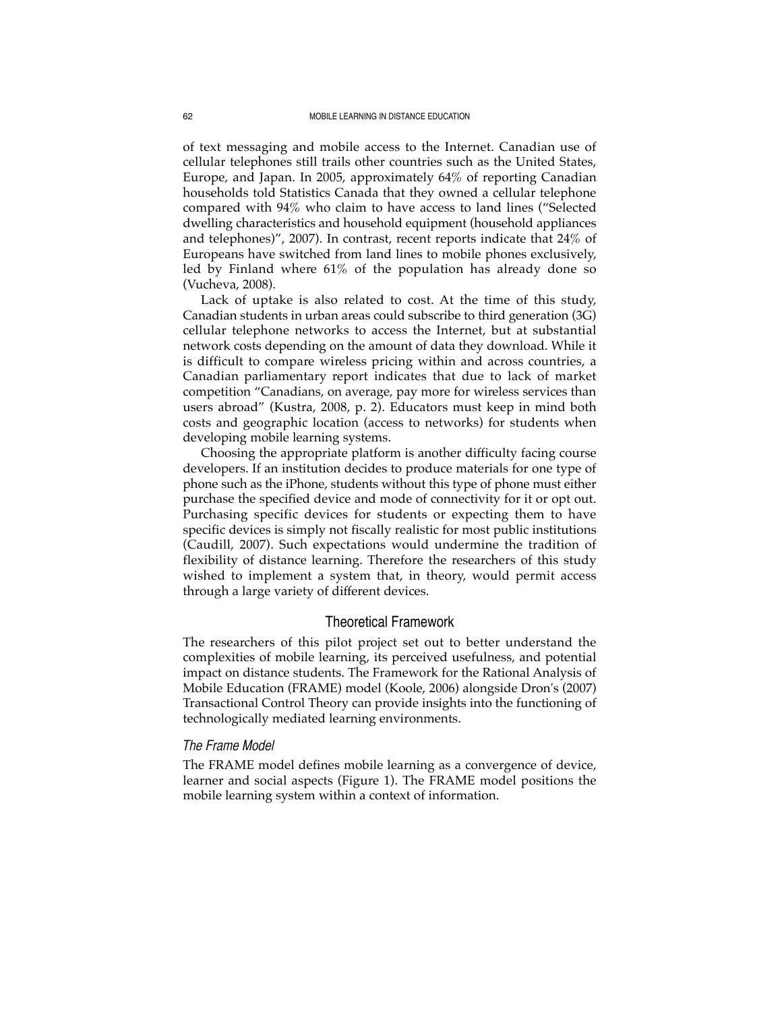of text messaging and mobile access to the Internet. Canadian use of cellular telephones still trails other countries such as the United States, Europe, and Japan. In 2005, approximately 64% of reporting Canadian households told Statistics Canada that they owned a cellular telephone compared with 94% who claim to have access to land lines ("Selected dwelling characteristics and household equipment (household appliances and telephones)", 2007). In contrast, recent reports indicate that 24% of Europeans have switched from land lines to mobile phones exclusively, led by Finland where 61% of the population has already done so (Vucheva, 2008).

Lack of uptake is also related to cost. At the time of this study, Canadian students in urban areas could subscribe to third generation (3G) cellular telephone networks to access the Internet, but at substantial network costs depending on the amount of data they download. While it is difficult to compare wireless pricing within and across countries, a Canadian parliamentary report indicates that due to lack of market competition "Canadians, on average, pay more for wireless services than users abroad" (Kustra, 2008, p. 2). Educators must keep in mind both costs and geographic location (access to networks) for students when developing mobile learning systems.

Choosing the appropriate platform is another difficulty facing course developers. If an institution decides to produce materials for one type of phone such as the iPhone, students without this type of phone must either purchase the specified device and mode of connectivity for it or opt out. Purchasing specific devices for students or expecting them to have specific devices is simply not fiscally realistic for most public institutions (Caudill, 2007). Such expectations would undermine the tradition of flexibility of distance learning. Therefore the researchers of this study wished to implement a system that, in theory, would permit access through a large variety of different devices.

### Theoretical Framework

The researchers of this pilot project set out to better understand the complexities of mobile learning, its perceived usefulness, and potential impact on distance students. The Framework for the Rational Analysis of Mobile Education (FRAME) model (Koole, 2006) alongside Dron's (2007) Transactional Control Theory can provide insights into the functioning of technologically mediated learning environments.

### *The Frame Model*

The FRAME model defines mobile learning as a convergence of device, learner and social aspects (Figure 1). The FRAME model positions the mobile learning system within a context of information.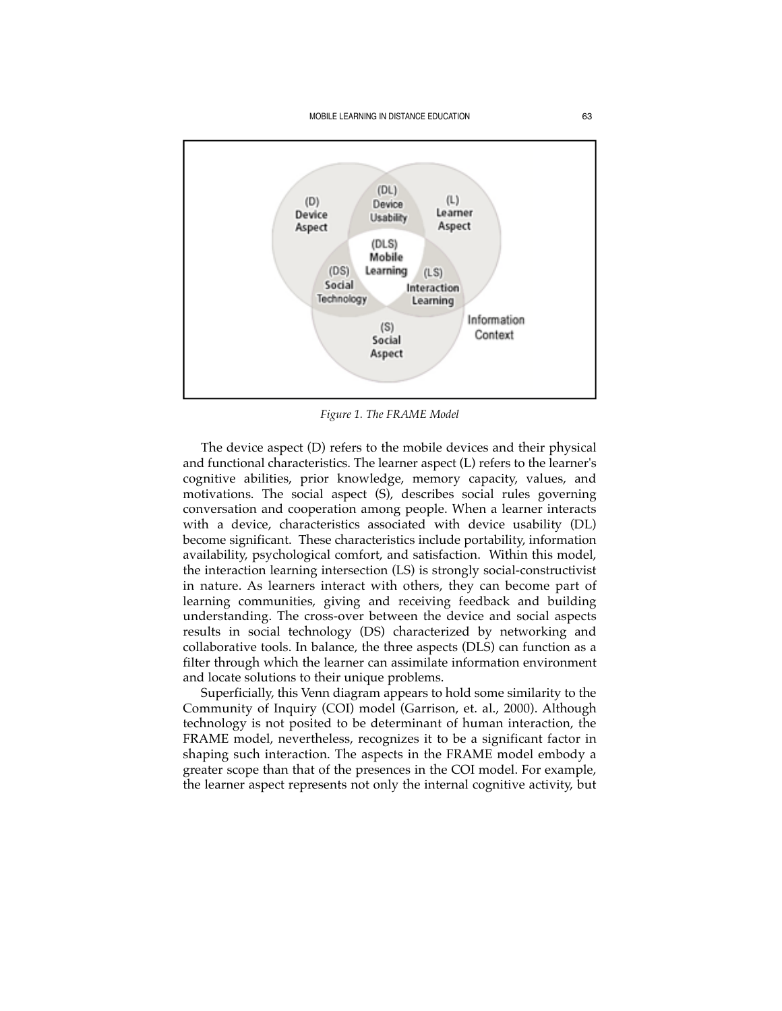

*Figure 1. The FRAME Model*

The device aspect (D) refers to the mobile devices and their physical and functional characteristics. The learner aspect (L) refers to the learner's cognitive abilities, prior knowledge, memory capacity, values, and motivations. The social aspect (S), describes social rules governing conversation and cooperation among people. When a learner interacts with a device, characteristics associated with device usability (DL) become significant. These characteristics include portability, information availability, psychological comfort, and satisfaction. Within this model, the interaction learning intersection (LS) is strongly social-constructivist in nature. As learners interact with others, they can become part of learning communities, giving and receiving feedback and building understanding. The cross-over between the device and social aspects results in social technology (DS) characterized by networking and collaborative tools. In balance, the three aspects (DLS) can function as a filter through which the learner can assimilate information environment and locate solutions to their unique problems.

Superficially, this Venn diagram appears to hold some similarity to the Community of Inquiry (COI) model (Garrison, et. al., 2000). Although technology is not posited to be determinant of human interaction, the FRAME model, nevertheless, recognizes it to be a significant factor in shaping such interaction. The aspects in the FRAME model embody a greater scope than that of the presences in the COI model. For example, the learner aspect represents not only the internal cognitive activity, but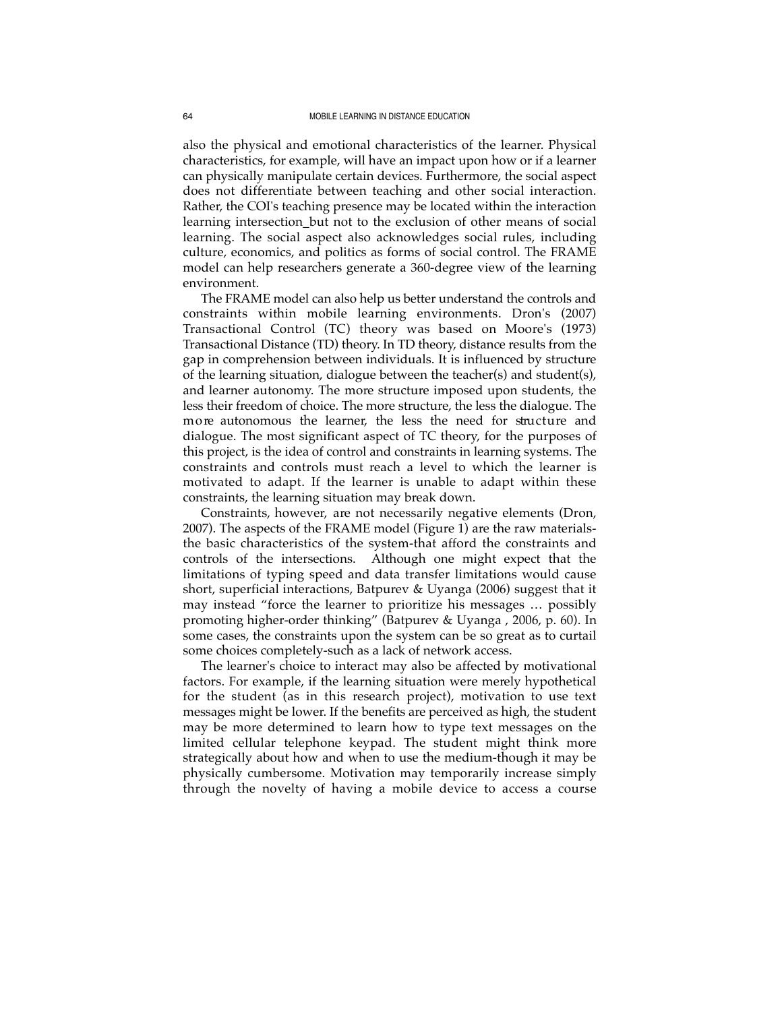also the physical and emotional characteristics of the learner. Physical characteristics, for example, will have an impact upon how or if a learner can physically manipulate certain devices. Furthermore, the social aspect does not differentiate between teaching and other social interaction. Rather, the COI's teaching presence may be located within the interaction learning intersection\_but not to the exclusion of other means of social learning. The social aspect also acknowledges social rules, including culture, economics, and politics as forms of social control. The FRAME model can help researchers generate a 360-degree view of the learning environment.

The FRAME model can also help us better understand the controls and constraints within mobile learning environments. Dron's (2007) Transactional Control (TC) theory was based on Moore's (1973) Transactional Distance (TD) theory. In TD theory, distance results from the gap in comprehension between individuals. It is influenced by structure of the learning situation, dialogue between the teacher(s) and student(s), and learner autonomy. The more structure imposed upon students, the less their freedom of choice. The more structure, the less the dialogue. The more autonomous the learner, the less the need for structure and dialogue. The most significant aspect of TC theory, for the purposes of this project, is the idea of control and constraints in learning systems. The constraints and controls must reach a level to which the learner is motivated to adapt. If the learner is unable to adapt within these constraints, the learning situation may break down.

Constraints, however, are not necessarily negative elements (Dron, 2007). The aspects of the FRAME model (Figure 1) are the raw materialsthe basic characteristics of the system-that afford the constraints and controls of the intersections. Although one might expect that the limitations of typing speed and data transfer limitations would cause short, superficial interactions, Batpurev & Uyanga (2006) suggest that it may instead "force the learner to prioritize his messages … possibly promoting higher-order thinking" (Batpurev & Uyanga , 2006, p. 60). In some cases, the constraints upon the system can be so great as to curtail some choices completely-such as a lack of network access.

The learner's choice to interact may also be affected by motivational factors. For example, if the learning situation were merely hypothetical for the student (as in this research project), motivation to use text messages might be lower. If the benefits are perceived as high, the student may be more determined to learn how to type text messages on the limited cellular telephone keypad. The student might think more strategically about how and when to use the medium-though it may be physically cumbersome. Motivation may temporarily increase simply through the novelty of having a mobile device to access a course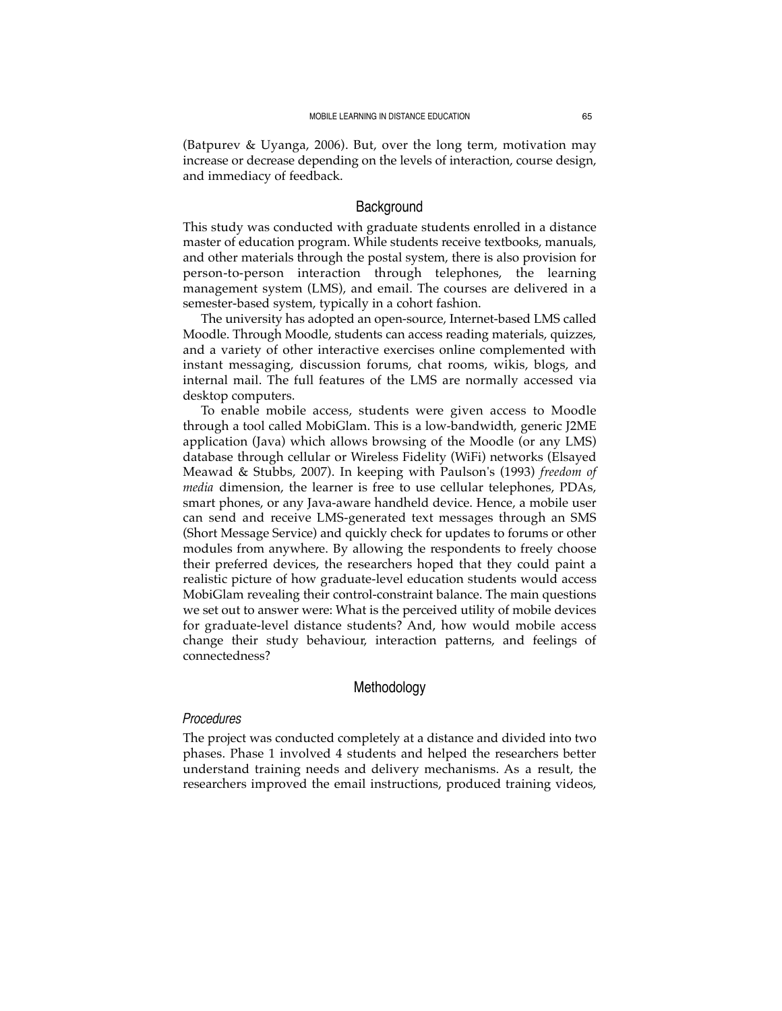(Batpurev & Uyanga, 2006). But, over the long term, motivation may increase or decrease depending on the levels of interaction, course design, and immediacy of feedback.

#### Background

This study was conducted with graduate students enrolled in a distance master of education program. While students receive textbooks, manuals, and other materials through the postal system, there is also provision for person-to-person interaction through telephones, the learning management system (LMS), and email. The courses are delivered in a semester-based system, typically in a cohort fashion.

The university has adopted an open-source, Internet-based LMS called Moodle. Through Moodle, students can access reading materials, quizzes, and a variety of other interactive exercises online complemented with instant messaging, discussion forums, chat rooms, wikis, blogs, and internal mail. The full features of the LMS are normally accessed via desktop computers.

To enable mobile access, students were given access to Moodle through a tool called MobiGlam. This is a low-bandwidth, generic J2ME application (Java) which allows browsing of the Moodle (or any LMS) database through cellular or Wireless Fidelity (WiFi) networks (Elsayed Meawad & Stubbs, 2007). In keeping with Paulson's (1993) *freedom of media* dimension, the learner is free to use cellular telephones, PDAs, smart phones, or any Java-aware handheld device. Hence, a mobile user can send and receive LMS-generated text messages through an SMS (Short Message Service) and quickly check for updates to forums or other modules from anywhere. By allowing the respondents to freely choose their preferred devices, the researchers hoped that they could paint a realistic picture of how graduate-level education students would access MobiGlam revealing their control-constraint balance. The main questions we set out to answer were: What is the perceived utility of mobile devices for graduate-level distance students? And, how would mobile access change their study behaviour, interaction patterns, and feelings of connectedness?

## Methodology

## *Procedures*

The project was conducted completely at a distance and divided into two phases. Phase 1 involved 4 students and helped the researchers better understand training needs and delivery mechanisms. As a result, the researchers improved the email instructions, produced training videos,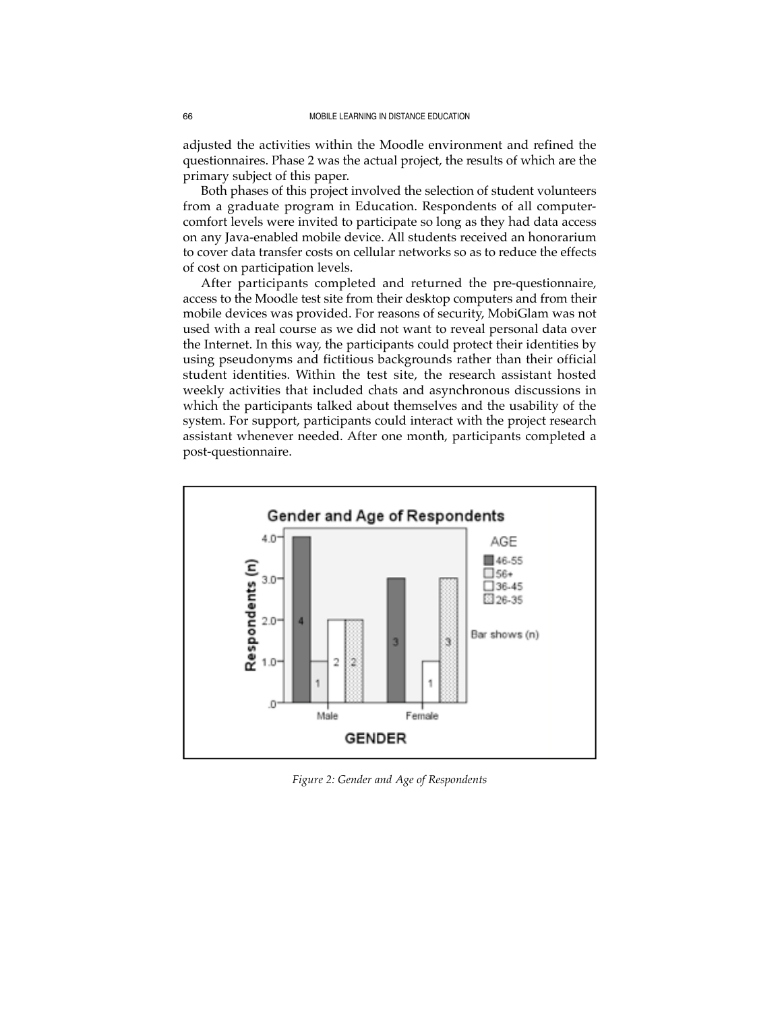adjusted the activities within the Moodle environment and refined the questionnaires. Phase 2 was the actual project, the results of which are the primary subject of this paper.

Both phases of this project involved the selection of student volunteers from a graduate program in Education. Respondents of all computercomfort levels were invited to participate so long as they had data access on any Java-enabled mobile device. All students received an honorarium to cover data transfer costs on cellular networks so as to reduce the effects of cost on participation levels.

After participants completed and returned the pre-questionnaire, access to the Moodle test site from their desktop computers and from their mobile devices was provided. For reasons of security, MobiGlam was not used with a real course as we did not want to reveal personal data over the Internet. In this way, the participants could protect their identities by using pseudonyms and fictitious backgrounds rather than their official student identities. Within the test site, the research assistant hosted weekly activities that included chats and asynchronous discussions in which the participants talked about themselves and the usability of the system. For support, participants could interact with the project research assistant whenever needed. After one month, participants completed a post-questionnaire.



*Figure 2: Gender and Age of Respondents*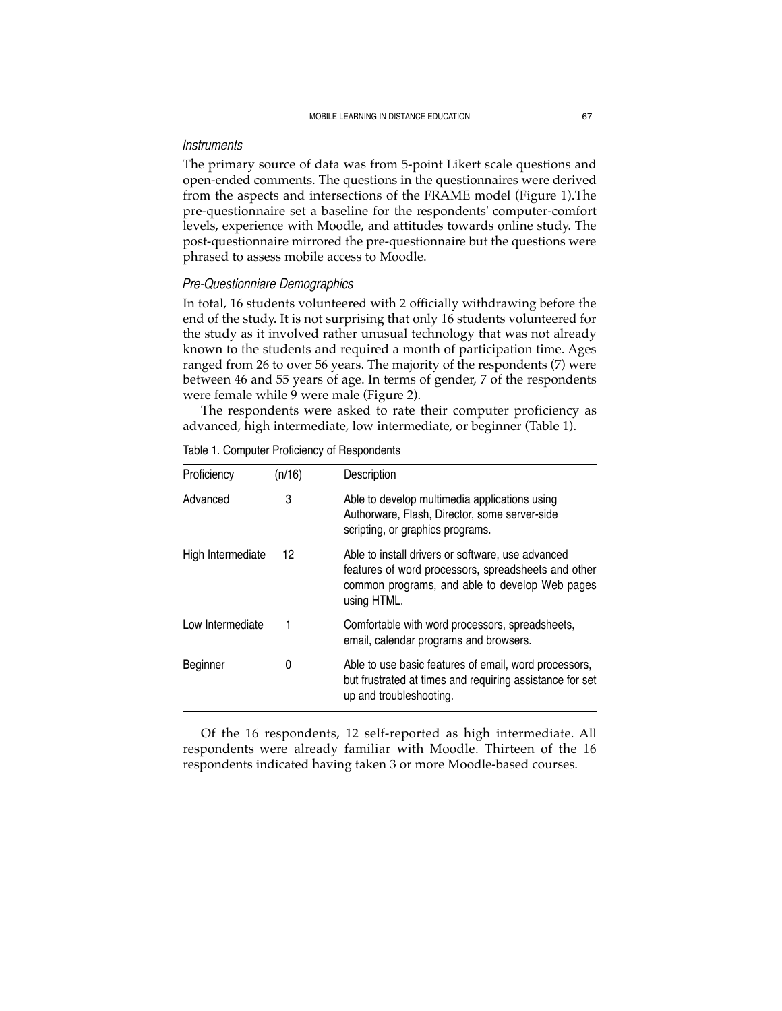#### *Instruments*

The primary source of data was from 5-point Likert scale questions and open-ended comments. The questions in the questionnaires were derived from the aspects and intersections of the FRAME model (Figure 1).The pre-questionnaire set a baseline for the respondents' computer-comfort levels, experience with Moodle, and attitudes towards online study. The post-questionnaire mirrored the pre-questionnaire but the questions were phrased to assess mobile access to Moodle.

### *Pre-Questionniare Demographics*

In total, 16 students volunteered with 2 officially withdrawing before the end of the study. It is not surprising that only 16 students volunteered for the study as it involved rather unusual technology that was not already known to the students and required a month of participation time. Ages ranged from 26 to over 56 years. The majority of the respondents (7) were between 46 and 55 years of age. In terms of gender, 7 of the respondents were female while 9 were male (Figure 2).

The respondents were asked to rate their computer proficiency as advanced, high intermediate, low intermediate, or beginner (Table 1).

| Proficiency       | (n/16) | Description                                                                                                                                                               |
|-------------------|--------|---------------------------------------------------------------------------------------------------------------------------------------------------------------------------|
| Advanced          | 3      | Able to develop multimedia applications using<br>Authorware, Flash, Director, some server-side<br>scripting, or graphics programs.                                        |
| High Intermediate | 12     | Able to install drivers or software, use advanced<br>features of word processors, spreadsheets and other<br>common programs, and able to develop Web pages<br>using HTML. |
| Low Intermediate  |        | Comfortable with word processors, spreadsheets,<br>email, calendar programs and browsers.                                                                                 |
| Beginner          | 0      | Able to use basic features of email, word processors,<br>but frustrated at times and requiring assistance for set<br>up and troubleshooting.                              |

Table 1. Computer Proficiency of Respondents

Of the 16 respondents, 12 self-reported as high intermediate. All respondents were already familiar with Moodle. Thirteen of the 16 respondents indicated having taken 3 or more Moodle-based courses.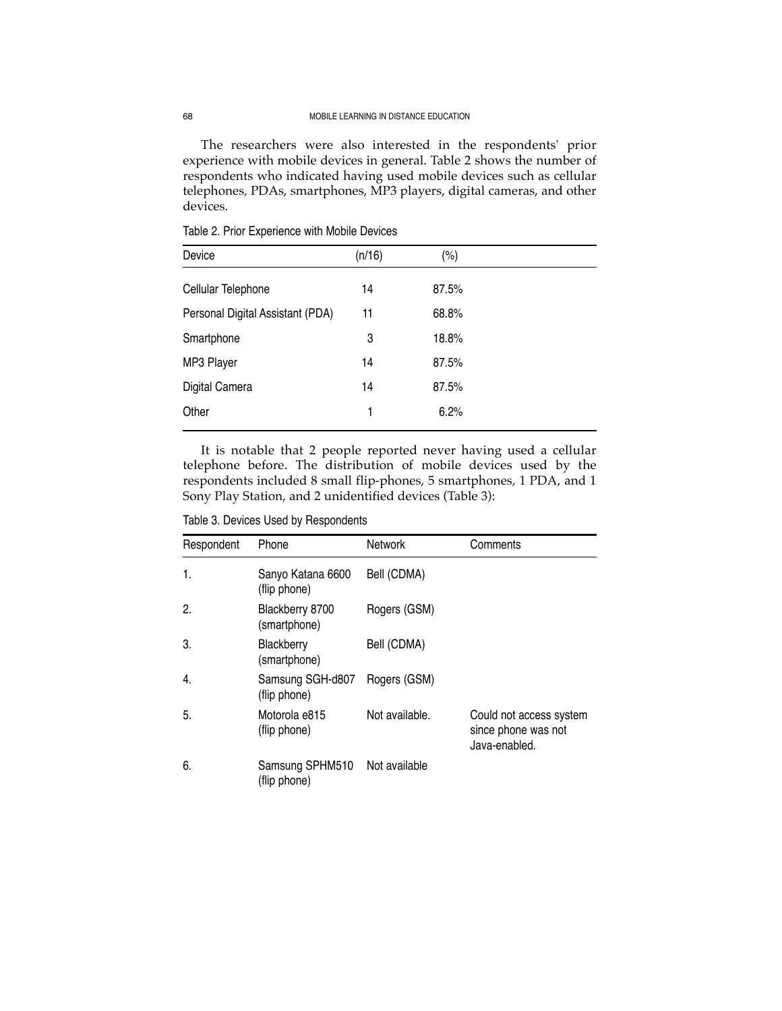The researchers were also interested in the respondents' prior experience with mobile devices in general. Table 2 shows the number of respondents who indicated having used mobile devices such as cellular telephones, PDAs, smartphones, MP3 players, digital cameras, and other devices.

| Device                           | (n/16) | (%)   |  |
|----------------------------------|--------|-------|--|
| Cellular Telephone               | 14     | 87.5% |  |
| Personal Digital Assistant (PDA) | 11     | 68.8% |  |
| Smartphone                       | 3      | 18.8% |  |
| MP3 Player                       | 14     | 87.5% |  |
| Digital Camera                   | 14     | 87.5% |  |
| Other                            | 1      | 6.2%  |  |

Table 2. Prior Experience with Mobile Devices

It is notable that 2 people reported never having used a cellular telephone before. The distribution of mobile devices used by the respondents included 8 small flip-phones, 5 smartphones, 1 PDA, and 1 Sony Play Station, and 2 unidentified devices (Table 3):

Table 3. Devices Used by Respondents

| Respondent | Phone                             | <b>Network</b> | Comments                                                        |
|------------|-----------------------------------|----------------|-----------------------------------------------------------------|
| 1.         | Sanyo Katana 6600<br>(flip phone) | Bell (CDMA)    |                                                                 |
| 2.         | Blackberry 8700<br>(smartphone)   | Rogers (GSM)   |                                                                 |
| 3.         | Blackberry<br>(smartphone)        | Bell (CDMA)    |                                                                 |
| 4.         | Samsung SGH-d807<br>(flip phone)  | Rogers (GSM)   |                                                                 |
| 5.         | Motorola e815<br>(flip phone)     | Not available. | Could not access system<br>since phone was not<br>Java-enabled. |
| 6.         | Samsung SPHM510<br>(flip phone)   | Not available  |                                                                 |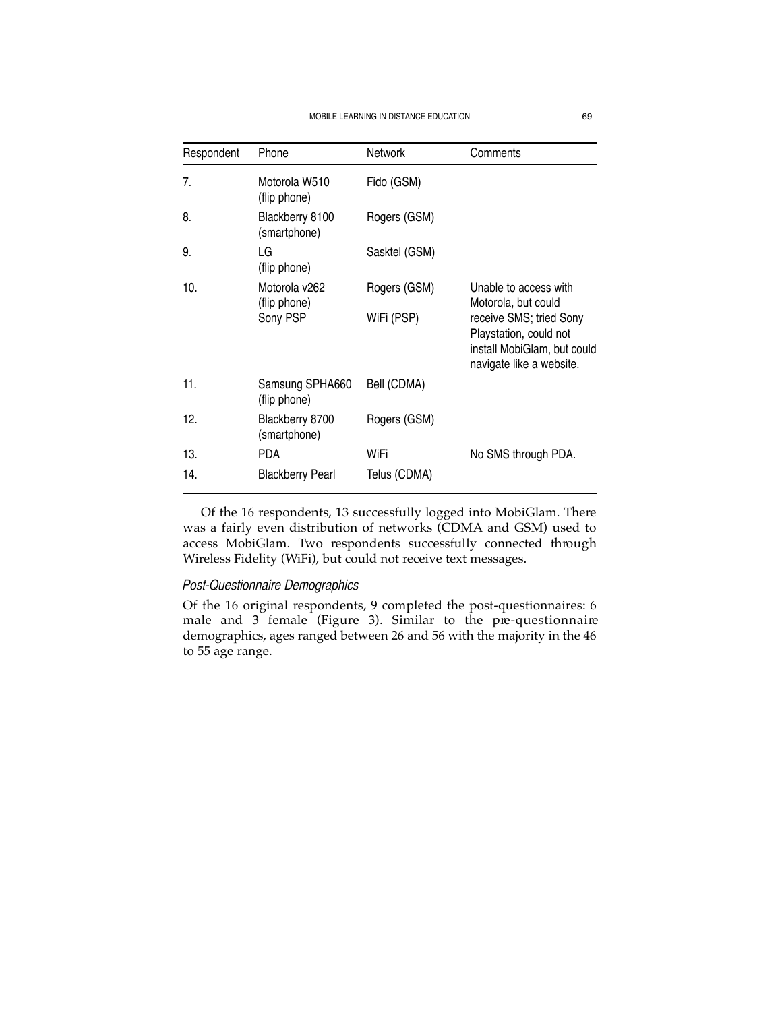| Respondent | Phone                                     | <b>Network</b>             | Comments                                                                                                                                                     |
|------------|-------------------------------------------|----------------------------|--------------------------------------------------------------------------------------------------------------------------------------------------------------|
| 7.         | Motorola W510<br>(flip phone)             | Fido (GSM)                 |                                                                                                                                                              |
| 8.         | Blackberry 8100<br>(smartphone)           | Rogers (GSM)               |                                                                                                                                                              |
| 9.         | LG<br>(flip phone)                        | Sasktel (GSM)              |                                                                                                                                                              |
| 10.        | Motorola v262<br>(flip phone)<br>Sony PSP | Rogers (GSM)<br>WiFi (PSP) | Unable to access with<br>Motorola, but could<br>receive SMS; tried Sony<br>Playstation, could not<br>install MobiGlam, but could<br>navigate like a website. |
| 11.        | Samsung SPHA660<br>(flip phone)           | Bell (CDMA)                |                                                                                                                                                              |
| 12.        | Blackberry 8700<br>(smartphone)           | Rogers (GSM)               |                                                                                                                                                              |
| 13.        | <b>PDA</b>                                | WiFi                       | No SMS through PDA.                                                                                                                                          |
| 14.        | <b>Blackberry Pearl</b>                   | Telus (CDMA)               |                                                                                                                                                              |

Of the 16 respondents, 13 successfully logged into MobiGlam. There was a fairly even distribution of networks (CDMA and GSM) used to access MobiGlam. Two respondents successfully connected through Wireless Fidelity (WiFi), but could not receive text messages.

## *Post-Questionnaire Demographics*

Of the 16 original respondents, 9 completed the post-questionnaires: 6 male and  $3$  female (Figure 3). Similar to the pre-questionnaire demographics, ages ranged between 26 and 56 with the majority in the 46 to 55 age range.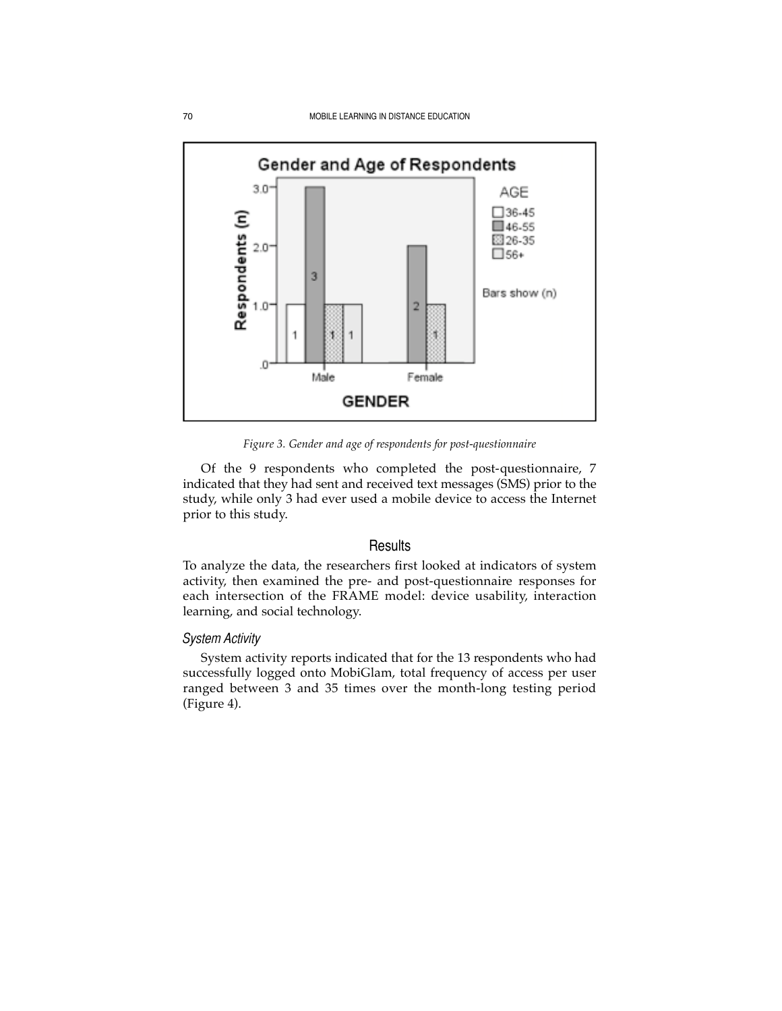

*Figure 3. Gender and age of respondents for post-questionnaire*

Of the 9 respondents who completed the post-questionnaire, 7 indicated that they had sent and received text messages (SMS) prior to the study, while only 3 had ever used a mobile device to access the Internet prior to this study.

#### **Results**

To analyze the data, the researchers first looked at indicators of system activity, then examined the pre- and post-questionnaire responses for each intersection of the FRAME model: device usability, interaction learning, and social technology.

## *System Activity*

System activity reports indicated that for the 13 respondents who had successfully logged onto MobiGlam, total frequency of access per user ranged between 3 and 35 times over the month-long testing period (Figure 4).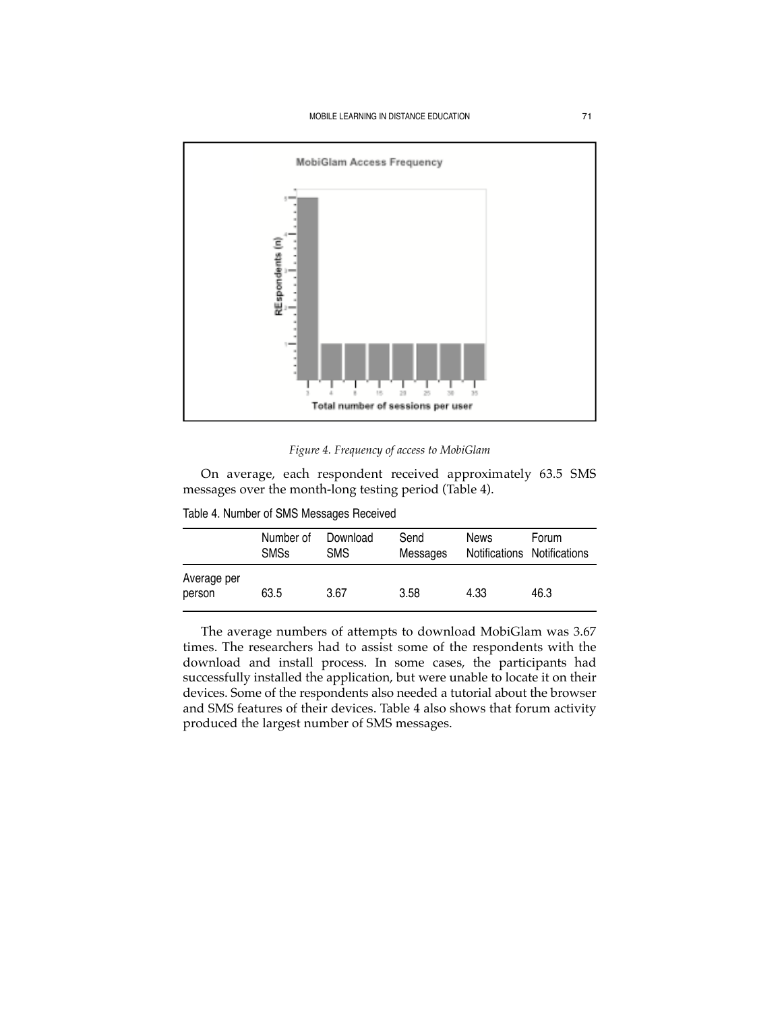

*Figure 4. Frequency of access to MobiGlam* 

On average, each respondent received approximately 63.5 SMS messages over the month-long testing period (Table 4).

Table 4. Number of SMS Messages Received

|                       | Number of<br><b>SMSs</b> | Download<br><b>SMS</b> | Send<br>Messages | <b>News</b><br>Notifications Notifications | Forum |
|-----------------------|--------------------------|------------------------|------------------|--------------------------------------------|-------|
| Average per<br>person | 63.5                     | 3.67                   | 3.58             | 4.33                                       | 46.3  |

The average numbers of attempts to download MobiGlam was 3.67 times. The researchers had to assist some of the respondents with the download and install process. In some cases, the participants had successfully installed the application, but were unable to locate it on their devices. Some of the respondents also needed a tutorial about the browser and SMS features of their devices. Table 4 also shows that forum activity produced the largest number of SMS messages.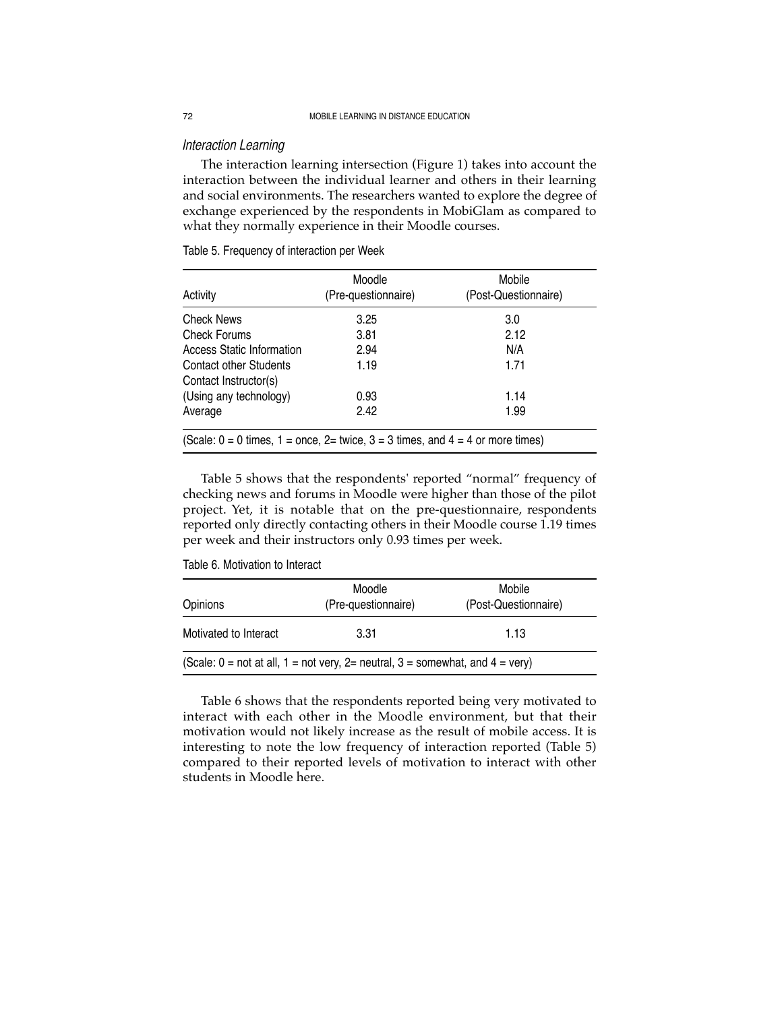#### *Interaction Learning*

The interaction learning intersection (Figure 1) takes into account the interaction between the individual learner and others in their learning and social environments. The researchers wanted to explore the degree of exchange experienced by the respondents in MobiGlam as compared to what they normally experience in their Moodle courses.

| Activity                                                                                  | Moodle<br>(Pre-questionnaire) | Mobile<br>(Post-Questionnaire) |
|-------------------------------------------------------------------------------------------|-------------------------------|--------------------------------|
| Check News                                                                                | 3.25                          | 3.0                            |
| Check Forums                                                                              | 3.81                          | 2.12                           |
| <b>Access Static Information</b>                                                          | 2.94                          | N/A                            |
| Contact other Students<br>Contact Instructor(s)                                           | 1.19                          | 1.71                           |
| (Using any technology)                                                                    | 0.93                          | 1.14                           |
| Average                                                                                   | 2.42                          | 1.99                           |
| (Scale: $0 = 0$ times, $1 =$ once, $2 =$ twice, $3 = 3$ times, and $4 = 4$ or more times) |                               |                                |

Table 5. Frequency of interaction per Week

Table 5 shows that the respondents' reported "normal" frequency of checking news and forums in Moodle were higher than those of the pilot project. Yet, it is notable that on the pre-questionnaire, respondents reported only directly contacting others in their Moodle course 1.19 times per week and their instructors only 0.93 times per week.

Table 6. Motivation to Interact

| Opinions              | Moodle<br>(Pre-questionnaire)                                                                                                  | Mobile<br>(Post-Questionnaire) |
|-----------------------|--------------------------------------------------------------------------------------------------------------------------------|--------------------------------|
| Motivated to Interact | 3.31                                                                                                                           | 1.13                           |
|                       | (Scale: $0 = \text{not}$ at all, $1 = \text{not}$ very, $2 = \text{neutral}$ , $3 = \text{somewhat}$ , and $4 = \text{very}$ ) |                                |

Table 6 shows that the respondents reported being very motivated to interact with each other in the Moodle environment, but that their motivation would not likely increase as the result of mobile access. It is interesting to note the low frequency of interaction reported (Table 5) compared to their reported levels of motivation to interact with other students in Moodle here.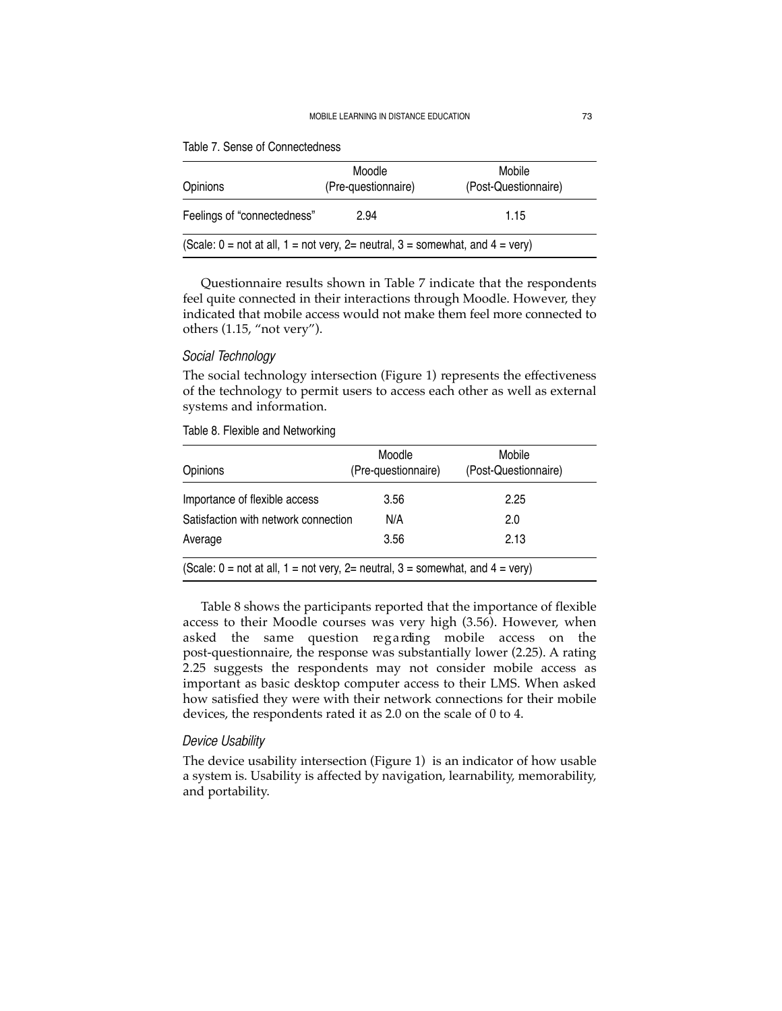#### MOBILE LEARNING IN DISTANCE EDUCATION 73

| Opinions                                                                                                                       | Moodle<br>(Pre-questionnaire) | Mobile<br>(Post-Questionnaire) |
|--------------------------------------------------------------------------------------------------------------------------------|-------------------------------|--------------------------------|
| Feelings of "connectedness"                                                                                                    | 2.94                          | 1.15                           |
| (Scale: $0 = \text{not}$ at all, $1 = \text{not}$ very, $2 = \text{neutral}$ , $3 = \text{somewhat}$ , and $4 = \text{very}$ ) |                               |                                |

|  | Table 7. Sense of Connectedness |  |
|--|---------------------------------|--|
|  |                                 |  |

Questionnaire results shown in Table 7 indicate that the respondents feel quite connected in their interactions through Moodle. However, they indicated that mobile access would not make them feel more connected to others (1.15, "not very").

### *Social Technology*

The social technology intersection (Figure 1) represents the effectiveness of the technology to permit users to access each other as well as external systems and information.

| (Post-Questionnaire)                                                                                                           |
|--------------------------------------------------------------------------------------------------------------------------------|
| 2.25                                                                                                                           |
| 2.0                                                                                                                            |
| 2.13                                                                                                                           |
| (Scale: $0 = \text{not}$ at all, $1 = \text{not}$ very, $2 = \text{neutral}$ , $3 = \text{somewhat}$ , and $4 = \text{very}$ ) |

Table 8. Flexible and Networking

Table 8 shows the participants reported that the importance of flexible access to their Moodle courses was very high (3.56). However, when asked the same question regarding mobile access on the post-questionnaire, the response was substantially lower (2.25). A rating 2.25 suggests the respondents may not consider mobile access as important as basic desktop computer access to their LMS. When asked how satisfied they were with their network connections for their mobile devices, the respondents rated it as 2.0 on the scale of 0 to 4.

#### *Device Usability*

The device usability intersection (Figure 1) is an indicator of how usable a system is. Usability is affected by navigation, learnability, memorability, and portability.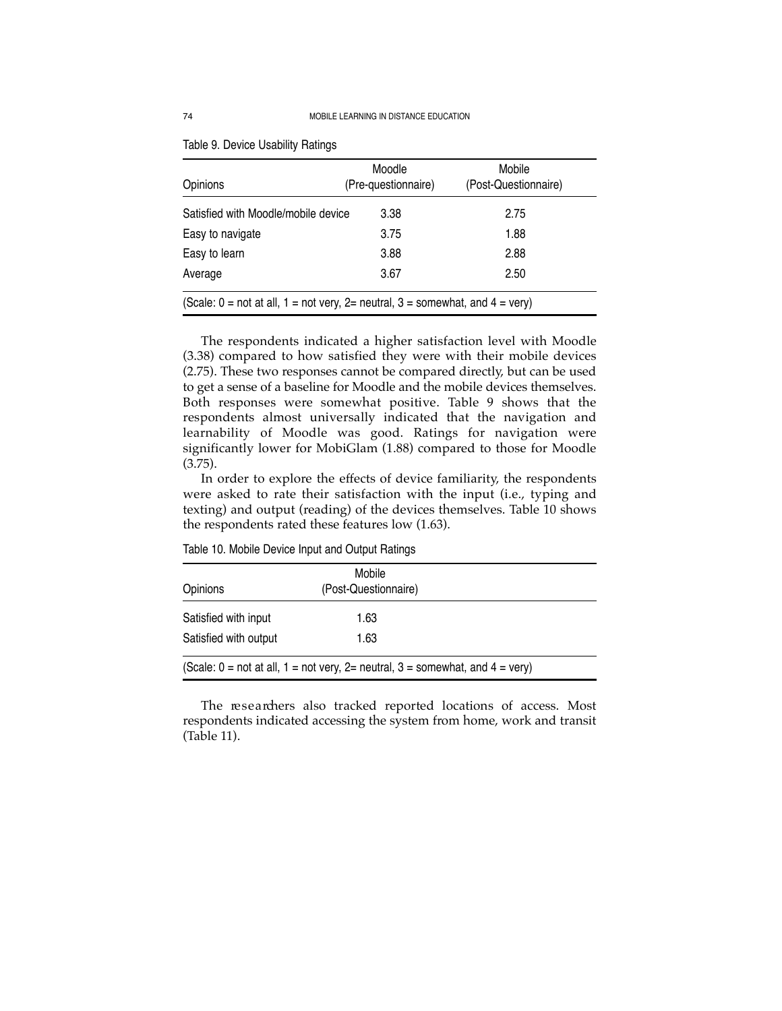| Opinions                                                                                                                       | Moodle<br>(Pre-questionnaire) | Mobile<br>(Post-Questionnaire) |  |
|--------------------------------------------------------------------------------------------------------------------------------|-------------------------------|--------------------------------|--|
| Satisfied with Moodle/mobile device                                                                                            | 3.38                          | 2.75                           |  |
| Easy to navigate                                                                                                               | 3.75                          | 1.88                           |  |
| Easy to learn                                                                                                                  | 3.88                          | 2.88                           |  |
| Average                                                                                                                        | 3.67                          | 2.50                           |  |
| (Scale: $0 = \text{not}$ at all, $1 = \text{not}$ very, $2 = \text{neutral}$ , $3 = \text{somewhat}$ , and $4 = \text{very}$ ) |                               |                                |  |

Table 9. Device Usability Ratings

The respondents indicated a higher satisfaction level with Moodle (3.38) compared to how satisfied they were with their mobile devices (2.75). These two responses cannot be compared directly, but can be used to get a sense of a baseline for Moodle and the mobile devices themselves. Both responses were somewhat positive. Table 9 shows that the respondents almost universally indicated that the navigation and learnability of Moodle was good. Ratings for navigation were significantly lower for MobiGlam (1.88) compared to those for Moodle (3.75).

In order to explore the effects of device familiarity, the respondents were asked to rate their satisfaction with the input (i.e., typing and texting) and output (reading) of the devices themselves. Table 10 shows the respondents rated these features low (1.63).

| Opinions                                                                                                                       |
|--------------------------------------------------------------------------------------------------------------------------------|
| Satisfied with input                                                                                                           |
| Satisfied with output                                                                                                          |
| (Scale: $0 = \text{not}$ at all, $1 = \text{not}$ very, $2 = \text{neutral}$ , $3 = \text{somewhat}$ , and $4 = \text{very}$ ) |

Table 10. Mobile Device Input and Output Ratings

The researchers also tracked reported locations of access. Most respondents indicated accessing the system from home, work and transit (Table 11).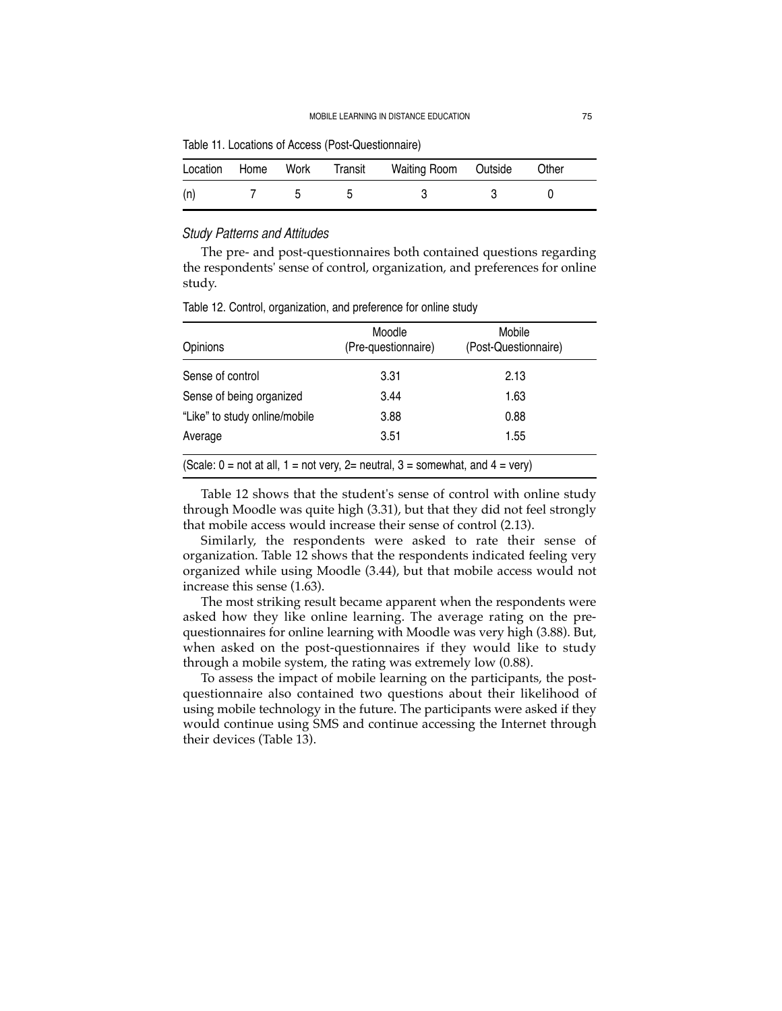Table 11. Locations of Access (Post-Questionnaire)

|     |  | Location Home Work Transit Waiting Room Outside | Other |  |
|-----|--|-------------------------------------------------|-------|--|
| (n) |  |                                                 |       |  |

#### *Study Patterns and Attitudes*

The pre- and post-questionnaires both contained questions regarding the respondents' sense of control, organization, and preferences for online study.

| Opinions                                                                                                                       | Moodle<br>(Pre-questionnaire) | Mobile<br>(Post-Questionnaire) |  |  |  |
|--------------------------------------------------------------------------------------------------------------------------------|-------------------------------|--------------------------------|--|--|--|
| Sense of control                                                                                                               | 3.31                          | 2.13                           |  |  |  |
| Sense of being organized                                                                                                       | 3.44                          | 1.63                           |  |  |  |
| "Like" to study online/mobile                                                                                                  | 3.88                          | 0.88                           |  |  |  |
| Average                                                                                                                        | 3.51                          | 1.55                           |  |  |  |
| (Scale: $0 = \text{not}$ at all, $1 = \text{not}$ very, $2 = \text{neutral}$ , $3 = \text{somewhat}$ , and $4 = \text{very}$ ) |                               |                                |  |  |  |

Table 12. Control, organization, and preference for online study

Table 12 shows that the student's sense of control with online study through Moodle was quite high (3.31), but that they did not feel strongly that mobile access would increase their sense of control (2.13).

Similarly, the respondents were asked to rate their sense of organization. Table 12 shows that the respondents indicated feeling very organized while using Moodle (3.44), but that mobile access would not increase this sense (1.63).

The most striking result became apparent when the respondents were asked how they like online learning. The average rating on the prequestionnaires for online learning with Moodle was very high (3.88). But, when asked on the post-questionnaires if they would like to study through a mobile system, the rating was extremely low (0.88).

To assess the impact of mobile learning on the participants, the postquestionnaire also contained two questions about their likelihood of using mobile technology in the future. The participants were asked if they would continue using SMS and continue accessing the Internet through their devices (Table 13).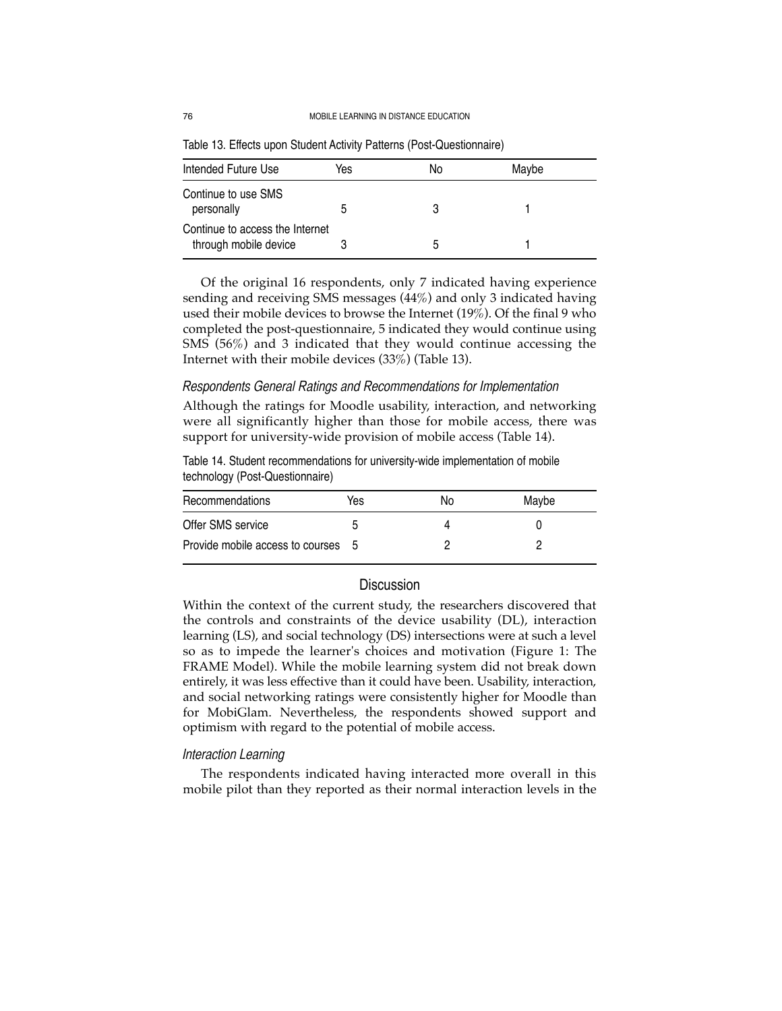| Intended Future Use                                      | Yes | No | Maybe |
|----------------------------------------------------------|-----|----|-------|
| Continue to use SMS<br>personally                        |     |    |       |
| Continue to access the Internet<br>through mobile device |     | b  |       |

Table 13. Effects upon Student Activity Patterns (Post-Questionnaire)

Of the original 16 respondents, only 7 indicated having experience sending and receiving SMS messages (44%) and only 3 indicated having used their mobile devices to browse the Internet (19%). Of the final 9 who completed the post-questionnaire, 5 indicated they would continue using SMS (56%) and 3 indicated that they would continue accessing the Internet with their mobile devices (33%) (Table 13).

### *Respondents General Ratings and Recommendations for Implementation*

Although the ratings for Moodle usability, interaction, and networking were all significantly higher than those for mobile access, there was support for university-wide provision of mobile access (Table 14).

Table 14. Student recommendations for university-wide implementation of mobile technology (Post-Questionnaire)

| Recommendations                    | Yes | No | Maybe |
|------------------------------------|-----|----|-------|
| Offer SMS service                  |     |    |       |
| Provide mobile access to courses 5 |     |    |       |

## **Discussion**

Within the context of the current study, the researchers discovered that the controls and constraints of the device usability (DL), interaction learning (LS), and social technology (DS) intersections were at such a level so as to impede the learner's choices and motivation (Figure 1: The FRAME Model). While the mobile learning system did not break down entirely, it was less effective than it could have been. Usability, interaction, and social networking ratings were consistently higher for Moodle than for MobiGlam. Nevertheless, the respondents showed support and optimism with regard to the potential of mobile access.

#### *Interaction Learning*

The respondents indicated having interacted more overall in this mobile pilot than they reported as their normal interaction levels in the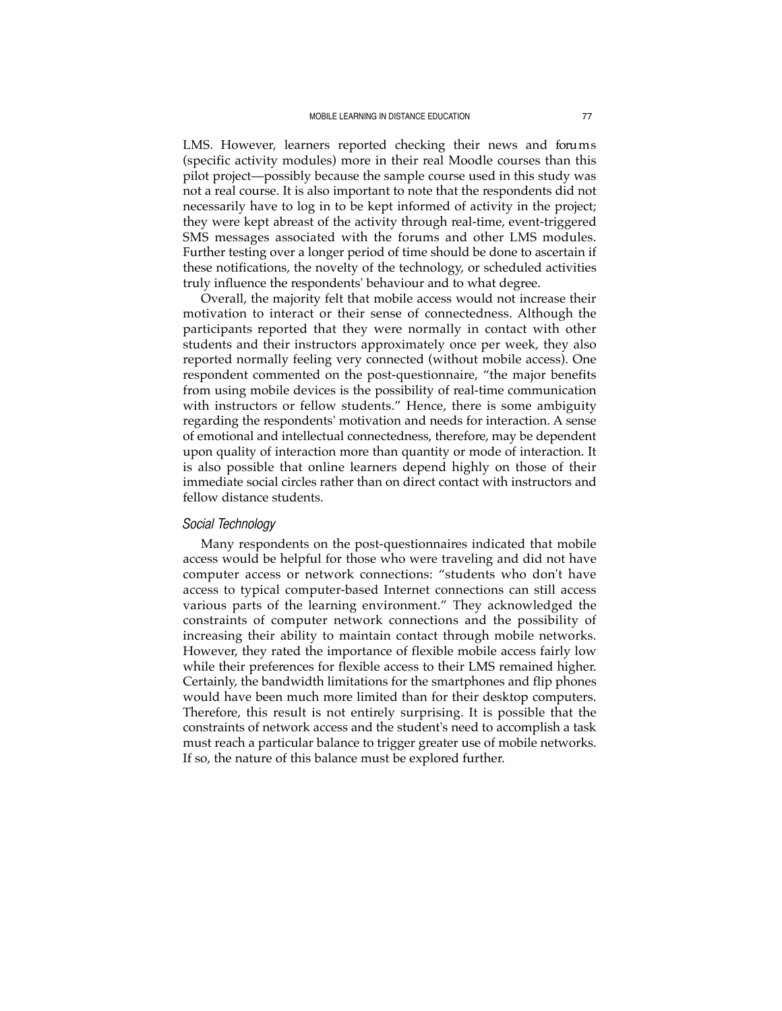LMS. However, learners reported checking their news and forums (specific activity modules) more in their real Moodle courses than this pilot project—possibly because the sample course used in this study was not a real course. It is also important to note that the respondents did not necessarily have to log in to be kept informed of activity in the project; they were kept abreast of the activity through real-time, event-triggered SMS messages associated with the forums and other LMS modules. Further testing over a longer period of time should be done to ascertain if these notifications, the novelty of the technology, or scheduled activities truly influence the respondents' behaviour and to what degree.

Overall, the majority felt that mobile access would not increase their motivation to interact or their sense of connectedness. Although the participants reported that they were normally in contact with other students and their instructors approximately once per week, they also reported normally feeling very connected (without mobile access). One respondent commented on the post-questionnaire, "the major benefits from using mobile devices is the possibility of real-time communication with instructors or fellow students." Hence, there is some ambiguity regarding the respondents' motivation and needs for interaction. A sense of emotional and intellectual connectedness, therefore, may be dependent upon quality of interaction more than quantity or mode of interaction. It is also possible that online learners depend highly on those of their immediate social circles rather than on direct contact with instructors and fellow distance students.

### *Social Technology*

Many respondents on the post-questionnaires indicated that mobile access would be helpful for those who were traveling and did not have computer access or network connections: "students who don't have access to typical computer-based Internet connections can still access various parts of the learning environment." They acknowledged the constraints of computer network connections and the possibility of increasing their ability to maintain contact through mobile networks. However, they rated the importance of flexible mobile access fairly low while their preferences for flexible access to their LMS remained higher. Certainly, the bandwidth limitations for the smartphones and flip phones would have been much more limited than for their desktop computers. Therefore, this result is not entirely surprising. It is possible that the constraints of network access and the student's need to accomplish a task must reach a particular balance to trigger greater use of mobile networks. If so, the nature of this balance must be explored further.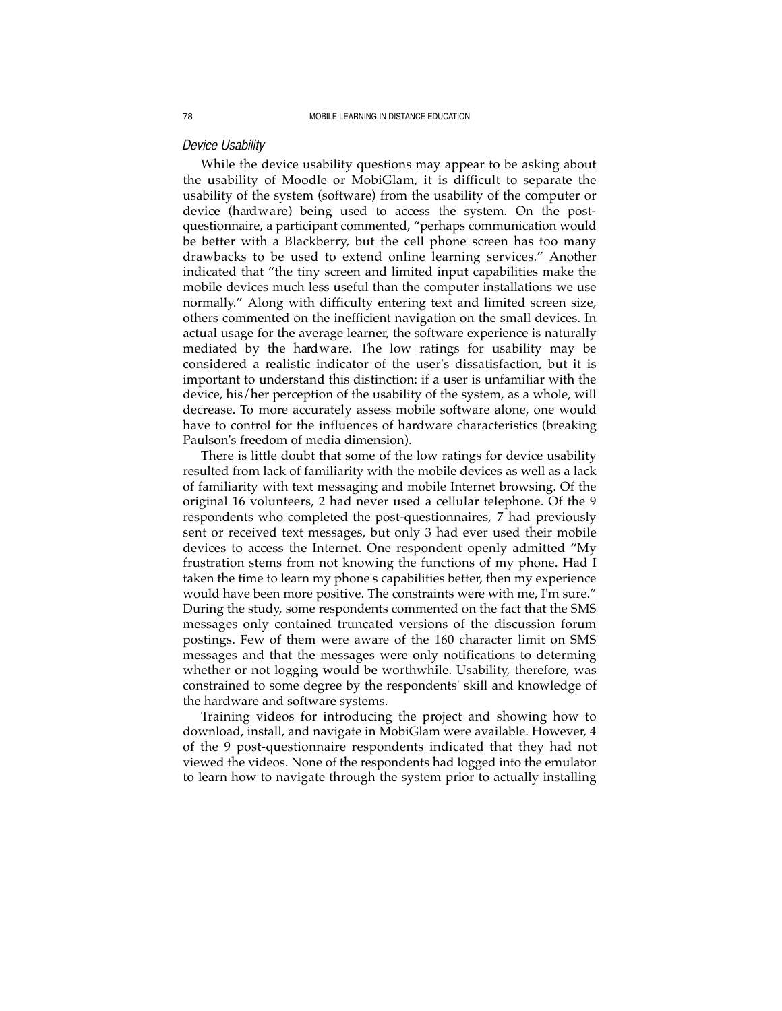#### *Device Usability*

While the device usability questions may appear to be asking about the usability of Moodle or MobiGlam, it is difficult to separate the usability of the system (software) from the usability of the computer or device (hard ware) being used to access the system. On the postquestionnaire, a participant commented, "perhaps communication would be better with a Blackberry, but the cell phone screen has too many drawbacks to be used to extend online learning services." Another indicated that "the tiny screen and limited input capabilities make the mobile devices much less useful than the computer installations we use normally." Along with difficulty entering text and limited screen size, others commented on the inefficient navigation on the small devices. In actual usage for the average learner, the software experience is naturally mediated by the hard ware. The low ratings for usability may be considered a realistic indicator of the user's dissatisfaction, but it is important to understand this distinction: if a user is unfamiliar with the device, his/her perception of the usability of the system, as a whole, will decrease. To more accurately assess mobile software alone, one would have to control for the influences of hardware characteristics (breaking Paulson's freedom of media dimension).

There is little doubt that some of the low ratings for device usability resulted from lack of familiarity with the mobile devices as well as a lack of familiarity with text messaging and mobile Internet browsing. Of the original 16 volunteers, 2 had never used a cellular telephone. Of the 9 respondents who completed the post-questionnaires, 7 had previously sent or received text messages, but only 3 had ever used their mobile devices to access the Internet. One respondent openly admitted "My frustration stems from not knowing the functions of my phone. Had I taken the time to learn my phone's capabilities better, then my experience would have been more positive. The constraints were with me, I'm sure." During the study, some respondents commented on the fact that the SMS messages only contained truncated versions of the discussion forum postings. Few of them were aware of the 160 character limit on SMS messages and that the messages were only notifications to determing whether or not logging would be worthwhile. Usability, therefore, was constrained to some degree by the respondents' skill and knowledge of the hardware and software systems.

Training videos for introducing the project and showing how to download, install, and navigate in MobiGlam were available. However, 4 of the 9 post-questionnaire respondents indicated that they had not viewed the videos. None of the respondents had logged into the emulator to learn how to navigate through the system prior to actually installing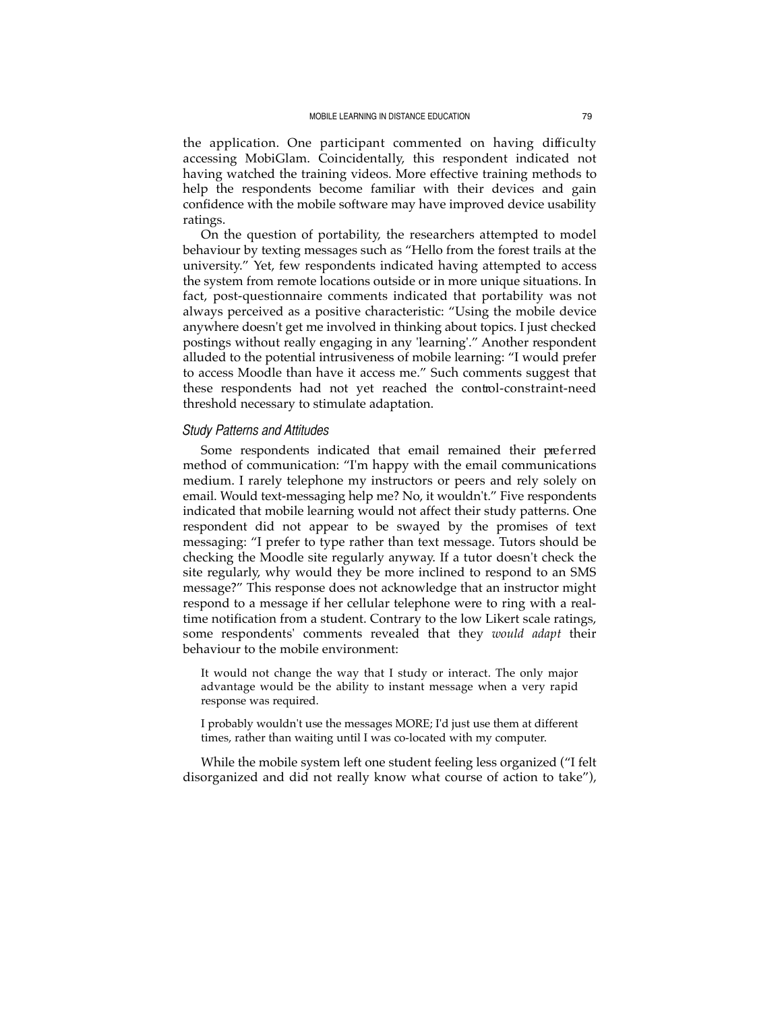the application. One participant commented on having difficulty accessing MobiGlam. Coincidentally, this respondent indicated not having watched the training videos. More effective training methods to help the respondents become familiar with their devices and gain confidence with the mobile software may have improved device usability ratings.

On the question of portability, the researchers attempted to model behaviour by texting messages such as "Hello from the forest trails at the university." Yet, few respondents indicated having attempted to access the system from remote locations outside or in more unique situations. In fact, post-questionnaire comments indicated that portability was not always perceived as a positive characteristic: "Using the mobile device anywhere doesn't get me involved in thinking about topics. I just checked postings without really engaging in any 'learning'." Another respondent alluded to the potential intrusiveness of mobile learning: "I would prefer to access Moodle than have it access me." Such comments suggest that these respondents had not yet reached the control-constraint-need threshold necessary to stimulate adaptation.

#### *Study Patterns and Attitudes*

Some respondents indicated that email remained their preferred method of communication: "I'm happy with the email communications medium. I rarely telephone my instructors or peers and rely solely on email. Would text-messaging help me? No, it wouldn't." Five respondents indicated that mobile learning would not affect their study patterns. One respondent did not appear to be swayed by the promises of text messaging: "I prefer to type rather than text message. Tutors should be checking the Moodle site regularly anyway. If a tutor doesn't check the site regularly, why would they be more inclined to respond to an SMS message?" This response does not acknowledge that an instructor might respond to a message if her cellular telephone were to ring with a realtime notification from a student. Contrary to the low Likert scale ratings, some respondents' comments revealed that they *would adapt* their behaviour to the mobile environment:

It would not change the way that I study or interact. The only major advantage would be the ability to instant message when a very rapid response was required.

I probably wouldn't use the messages MORE; I'd just use them at different times, rather than waiting until I was co-located with my computer.

While the mobile system left one student feeling less organized ("I felt disorganized and did not really know what course of action to take"),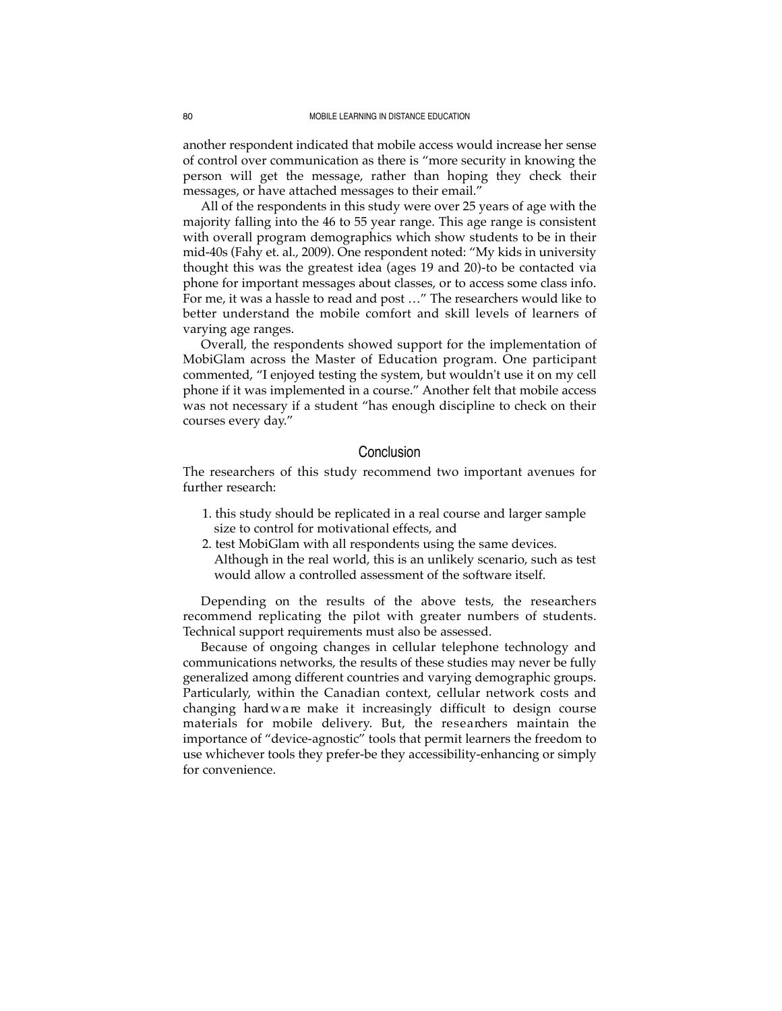another respondent indicated that mobile access would increase her sense of control over communication as there is "more security in knowing the person will get the message, rather than hoping they check their messages, or have attached messages to their email."

All of the respondents in this study were over 25 years of age with the majority falling into the 46 to 55 year range. This age range is consistent with overall program demographics which show students to be in their mid-40s (Fahy et. al., 2009). One respondent noted: "My kids in university thought this was the greatest idea (ages 19 and 20)-to be contacted via phone for important messages about classes, or to access some class info. For me, it was a hassle to read and post …" The researchers would like to better understand the mobile comfort and skill levels of learners of varying age ranges.

Overall, the respondents showed support for the implementation of MobiGlam across the Master of Education program. One participant commented, "I enjoyed testing the system, but wouldn't use it on my cell phone if it was implemented in a course." Another felt that mobile access was not necessary if a student "has enough discipline to check on their courses every day."

## Conclusion

The researchers of this study recommend two important avenues for further research:

- 1. this study should be replicated in a real course and larger sample size to control for motivational effects, and
- 2. test MobiGlam with all respondents using the same devices. Although in the real world, this is an unlikely scenario, such as test would allow a controlled assessment of the software itself.

Depending on the results of the above tests, the researchers recommend replicating the pilot with greater numbers of students. Technical support requirements must also be assessed.

Because of ongoing changes in cellular telephone technology and communications networks, the results of these studies may never be fully generalized among different countries and varying demographic groups. Particularly, within the Canadian context, cellular network costs and changing hard w a re make it increasingly difficult to design course materials for mobile delivery. But, the researchers maintain the importance of "device-agnostic" tools that permit learners the freedom to use whichever tools they prefer-be they accessibility-enhancing or simply for convenience.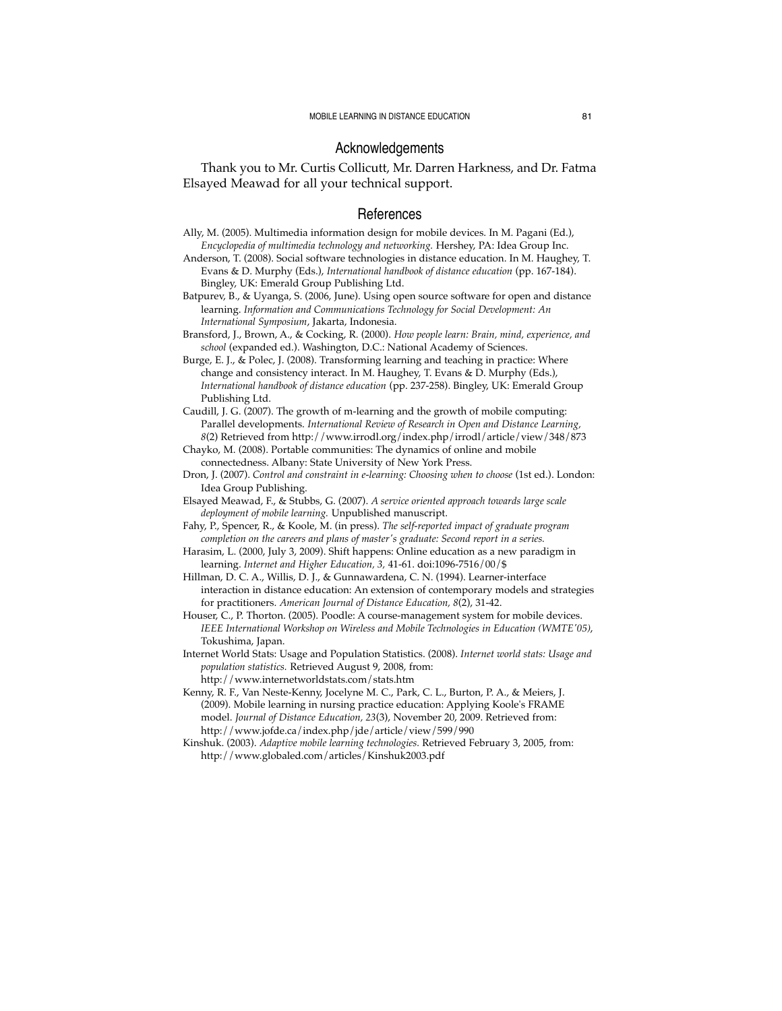### Acknowledgements

Thank you to Mr. Curtis Collicutt, Mr. Darren Harkness, and Dr. Fatma Elsayed Meawad for all your technical support.

#### References

- Ally, M. (2005). Multimedia information design for mobile devices. In M. Pagani (Ed.), *Encyclopedia of multimedia technology and networking.* Hershey, PA: Idea Group Inc.
- Anderson, T. (2008). Social software technologies in distance education. In M. Haughey, T. Evans & D. Murphy (Eds.), *International handbook of distance education* (pp. 167-184). Bingley, UK: Emerald Group Publishing Ltd.

Batpurev, B., & Uyanga, S. (2006, June). Using open source software for open and distance learning. *Information and Communications Technology for Social Development: An International Symposium*, Jakarta, Indonesia.

Bransford, J., Brown, A., & Cocking, R. (2000). *How people learn: Brain, mind, experience, and school* (expanded ed.). Washington, D.C.: National Academy of Sciences.

Burge, E. J., & Polec, J. (2008). Transforming learning and teaching in practice: Where change and consistency interact. In M. Haughey, T. Evans & D. Murphy (Eds.), *International handbook of distance education* (pp. 237-258). Bingley, UK: Emerald Group Publishing Ltd.

Caudill, J. G. (2007). The growth of m-learning and the growth of mobile computing: Parallel developments. *International Review of Research in Open and Distance Learning, 8*(2) Retrieved from http://www.irrodl.org/index.php/irrodl/article/view/348/873

- Chayko, M. (2008). Portable communities: The dynamics of online and mobile connectedness. Albany: State University of New York Press.
- Dron, J. (2007). *Control and constraint in e-learning: Choosing when to choose* (1st ed.). London: Idea Group Publishing.

Elsayed Meawad, F., & Stubbs, G. (2007). *A service oriented approach towards large scale deployment of mobile learning.* Unpublished manuscript.

- Fahy, P., Spencer, R., & Koole, M. (in press). *The self-reported impact of graduate program completion on the careers and plans of master's graduate: Second report in a series.*
- Harasim, L. (2000, July 3, 2009). Shift happens: Online education as a new paradigm in learning. *Internet and Higher Education, 3,* 41-61. doi:1096-7516/00/\$
- Hillman, D. C. A., Willis, D. J., & Gunnawardena, C. N. (1994). Learner-interface interaction in distance education: An extension of contemporary models and strategies for practitioners. *American Journal of Distance Education, 8*(2), 31-42.

Houser, C., P. Thorton. (2005). Poodle: A course-management system for mobile devices. *IEEE International Workshop on Wireless and Mobile Technologies in Education (WMTE'05)*, Tokushima, Japan.

Internet World Stats: Usage and Population Statistics. (2008). *Internet world stats: Usage and population statistics.* Retrieved August 9, 2008, from: http://www.internetworldstats.com/stats.htm

Kenny, R. F., Van Neste-Kenny, Jocelyne M. C., Park, C. L., Burton, P. A., & Meiers, J. (2009). Mobile learning in nursing practice education: Applying Koole's FRAME model. *Journal of Distance Education, 23*(3), November 20, 2009. Retrieved from: http://www.jofde.ca/index.php/jde/article/view/599/990

Kinshuk. (2003). *Adaptive mobile learning technologies.* Retrieved February 3, 2005, from: http://www.globaled.com/articles/Kinshuk2003.pdf